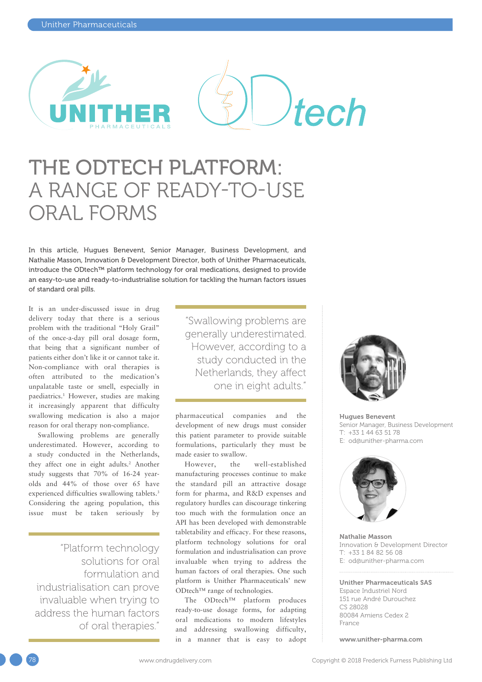

# THE ODTECH PLATFORM: A RANGE OF READY-TO-USE ORAL FORMS

In this article, Hugues Benevent, Senior Manager, Business Development, and Nathalie Masson, Innovation & Development Director, both of Unither Pharmaceuticals, introduce the ODtech™ platform technology for oral medications, designed to provide an easy-to-use and ready-to-industrialise solution for tackling the human factors issues of standard oral pills.

It is an under-discussed issue in drug delivery today that there is a serious problem with the traditional "Holy Grail" of the once-a-day pill oral dosage form, that being that a significant number of patients either don't like it or cannot take it. Non-compliance with oral therapies is often attributed to the medication's unpalatable taste or smell, especially in paediatrics.1 However, studies are making it increasingly apparent that difficulty swallowing medication is also a major reason for oral therapy non-compliance.

Swallowing problems are generally underestimated. However, according to a study conducted in the Netherlands, they affect one in eight adults.2 Another study suggests that 70% of 16-24 yearolds and 44% of those over 65 have experienced difficulties swallowing tablets.<sup>3</sup> Considering the ageing population, this issue must be taken seriously by

"Platform technology solutions for oral formulation and industrialisation can prove invaluable when trying to address the human factors of oral therapies."

"Swallowing problems are generally underestimated. However, according to a study conducted in the Netherlands, they affect one in eight adults."

pharmaceutical companies and the development of new drugs must consider this patient parameter to provide suitable formulations, particularly they must be made easier to swallow.

However, the well-established manufacturing processes continue to make the standard pill an attractive dosage form for pharma, and R&D expenses and regulatory hurdles can discourage tinkering too much with the formulation once an API has been developed with demonstrable tabletability and efficacy. For these reasons, platform technology solutions for oral formulation and industrialisation can prove invaluable when trying to address the human factors of oral therapies. One such platform is Unither Pharmaceuticals' new ODtech™ range of technologies.

The ODtech™ platform produces ready-to-use dosage forms, for adapting oral medications to modern lifestyles and addressing swallowing difficulty, in a manner that is easy to adopt



Hugues Benevent Senior Manager, Business Development  $T: +33144635178$ E: [od@unither-pharma.com](mailto:od@unither-pharma.com)



Nathalie Masson Innovation & Development Director T: +33 1 84 82 56 08 E: [od@unither-pharma.com](mailto:od@unither-pharma.com)

#### Unither Pharmaceuticals SAS Espace Industriel Nord 151 rue André Durouchez CS 28028 80084 Amiens Cedex 2 France

[www.unither-pharma.com](http://www.unither-pharma.com)